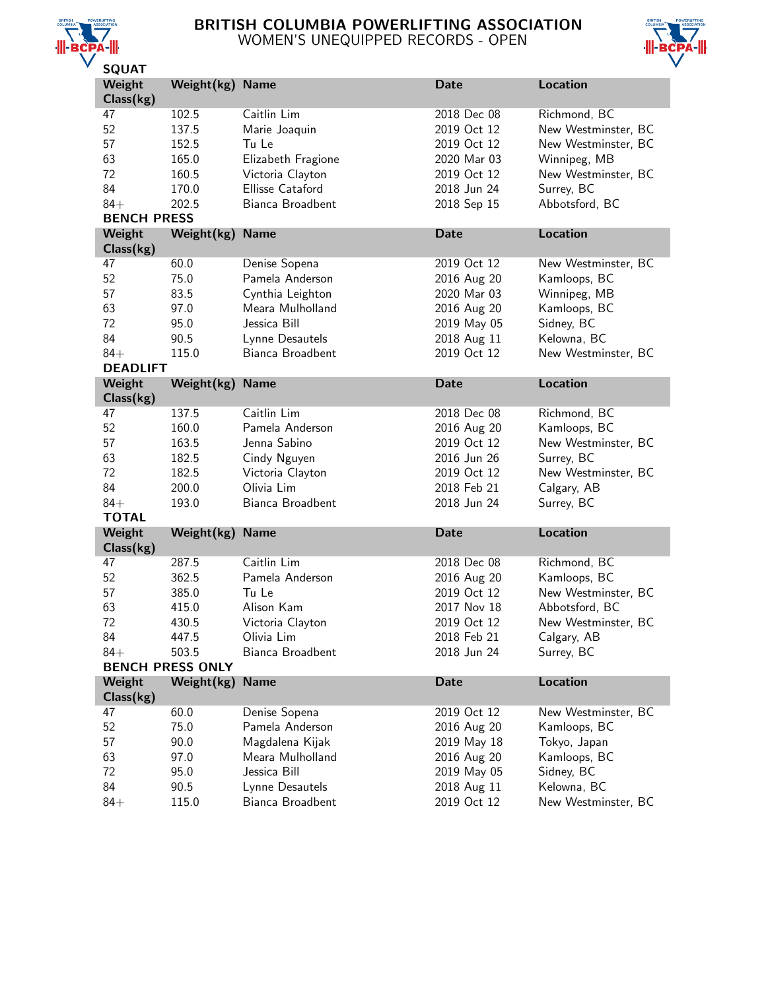

# BRITISH COLUMBIA POWERLIFTING ASSOCIATION WOMEN'S UNEQUIPPED RECORDS - OPEN



| JQUAI               |                         |                    |             |                     |
|---------------------|-------------------------|--------------------|-------------|---------------------|
| Weight<br>Class(kg) | Weight(kg) Name         |                    | <b>Date</b> | <b>Location</b>     |
| 47                  | 102.5                   | Caitlin Lim        | 2018 Dec 08 | Richmond, BC        |
| 52                  | 137.5                   | Marie Joaquin      | 2019 Oct 12 | New Westminster, BC |
|                     |                         |                    |             |                     |
| 57                  | 152.5                   | Tu Le              | 2019 Oct 12 | New Westminster, BC |
| 63                  | 165.0                   | Elizabeth Fragione | 2020 Mar 03 | Winnipeg, MB        |
| 72                  | 160.5                   | Victoria Clayton   | 2019 Oct 12 | New Westminster, BC |
| 84                  | 170.0                   | Ellisse Cataford   | 2018 Jun 24 | Surrey, BC          |
| $84+$               | 202.5                   | Bianca Broadbent   | 2018 Sep 15 | Abbotsford, BC      |
| <b>BENCH PRESS</b>  |                         |                    |             |                     |
| Weight              | Weight(kg)              | <b>Name</b>        | Date        | <b>Location</b>     |
| Class(kg)           |                         |                    |             |                     |
| 47                  | 60.0                    | Denise Sopena      | 2019 Oct 12 | New Westminster, BC |
| 52                  | 75.0                    | Pamela Anderson    | 2016 Aug 20 | Kamloops, BC        |
| 57                  | 83.5                    | Cynthia Leighton   | 2020 Mar 03 | Winnipeg, MB        |
| 63                  | 97.0                    | Meara Mulholland   | 2016 Aug 20 | Kamloops, BC        |
| 72                  | 95.0                    | Jessica Bill       | 2019 May 05 | Sidney, BC          |
| 84                  | 90.5                    | Lynne Desautels    | 2018 Aug 11 | Kelowna, BC         |
| $84+$               | 115.0                   | Bianca Broadbent   | 2019 Oct 12 | New Westminster, BC |
| <b>DEADLIFT</b>     |                         |                    |             |                     |
| Weight              | Weight(kg)              | <b>Name</b>        | <b>Date</b> | <b>Location</b>     |
| Class(kg)           |                         |                    |             |                     |
| 47                  | 137.5                   | Caitlin Lim        | 2018 Dec 08 | Richmond, BC        |
| 52                  | 160.0                   | Pamela Anderson    | 2016 Aug 20 | Kamloops, BC        |
|                     |                         |                    |             |                     |
| 57                  | 163.5                   | Jenna Sabino       | 2019 Oct 12 | New Westminster, BC |
| 63                  | 182.5                   | Cindy Nguyen       | 2016 Jun 26 | Surrey, BC          |
| 72                  | 182.5                   | Victoria Clayton   | 2019 Oct 12 | New Westminster, BC |
| 84                  | 200.0                   | Olivia Lim         | 2018 Feb 21 | Calgary, AB         |
| $84+$               | 193.0                   | Bianca Broadbent   | 2018 Jun 24 | Surrey, BC          |
| <b>TOTAL</b>        |                         |                    |             |                     |
| Weight              | Weight(kg)              | <b>Name</b>        | <b>Date</b> | <b>Location</b>     |
| Class(kg)           |                         |                    |             |                     |
| 47                  | 287.5                   | Caitlin Lim        | 2018 Dec 08 | Richmond, BC        |
| 52                  | 362.5                   | Pamela Anderson    | 2016 Aug 20 | Kamloops, BC        |
| 57                  | 385.0                   | Tu Le              | 2019 Oct 12 | New Westminster, BC |
| 63                  | 415.0                   | Alison Kam         | 2017 Nov 18 | Abbotsford, BC      |
| 72                  | 430.5                   | Victoria Clayton   | 2019 Oct 12 | New Westminster, BC |
| 84                  | 447.5                   | Olivia Lim         | 2018 Feb 21 | Calgary, AB         |
| $84+$               | 503.5                   | Bianca Broadbent   | 2018 Jun 24 | Surrey, BC          |
|                     | <b>BENCH PRESS ONLY</b> |                    |             |                     |
| Weight              | Weight(kg)              | <b>Name</b>        | <b>Date</b> | <b>Location</b>     |
| Class(kg)           |                         |                    |             |                     |
| 47                  | 60.0                    | Denise Sopena      | 2019 Oct 12 | New Westminster, BC |
| 52                  | 75.0                    | Pamela Anderson    | 2016 Aug 20 | Kamloops, BC        |
| 57                  | 90.0                    | Magdalena Kijak    | 2019 May 18 | Tokyo, Japan        |
| 63                  | 97.0                    | Meara Mulholland   | 2016 Aug 20 | Kamloops, BC        |
| 72                  | 95.0                    | Jessica Bill       | 2019 May 05 | Sidney, BC          |
|                     |                         |                    |             |                     |
| 84                  | 90.5                    | Lynne Desautels    | 2018 Aug 11 | Kelowna, BC         |
| $84+$               | 115.0                   | Bianca Broadbent   | 2019 Oct 12 | New Westminster, BC |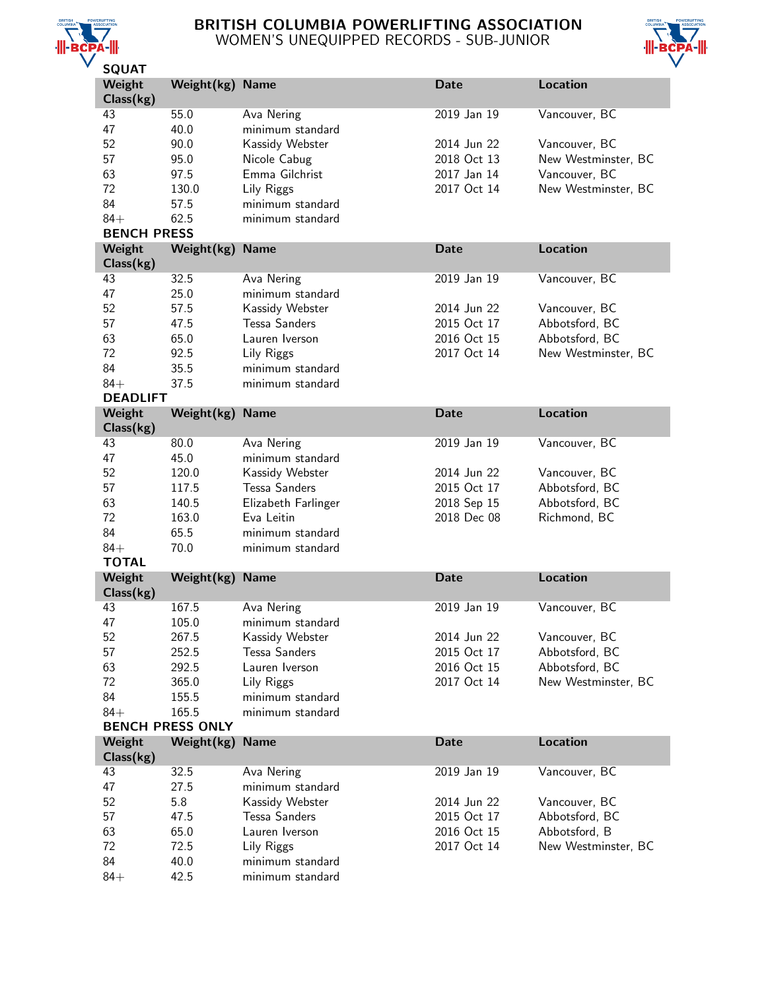

# BRITISH COLUMBIA POWERLIFTING ASSOCIATION WOMEN'S UNEQUIPPED RECORDS - SUB-JUNIOR



| <b>SQUAT</b>       |                         |                      |             |                     |
|--------------------|-------------------------|----------------------|-------------|---------------------|
| Weight             | Weight(kg)              | <b>Name</b>          | <b>Date</b> | <b>Location</b>     |
| Class(kg)          |                         |                      |             |                     |
| 43                 | 55.0                    | Ava Nering           | 2019 Jan 19 | Vancouver, BC       |
| 47                 | 40.0                    | minimum standard     |             |                     |
| 52                 | 90.0                    | Kassidy Webster      | 2014 Jun 22 | Vancouver, BC       |
| 57                 | 95.0                    | Nicole Cabug         | 2018 Oct 13 | New Westminster, BC |
| 63                 | 97.5                    | Emma Gilchrist       | 2017 Jan 14 | Vancouver, BC       |
| 72                 | 130.0                   | Lily Riggs           | 2017 Oct 14 | New Westminster, BC |
| 84                 | 57.5                    | minimum standard     |             |                     |
|                    |                         |                      |             |                     |
| $84+$              | 62.5                    | minimum standard     |             |                     |
| <b>BENCH PRESS</b> |                         |                      |             |                     |
| Weight             | Weight(kg)              | <b>Name</b>          | <b>Date</b> | <b>Location</b>     |
| Class(kg)          |                         |                      |             |                     |
| 43                 | 32.5                    | Ava Nering           | 2019 Jan 19 | Vancouver, BC       |
| 47                 | 25.0                    | minimum standard     |             |                     |
| 52                 | 57.5                    | Kassidy Webster      | 2014 Jun 22 | Vancouver, BC       |
| 57                 | 47.5                    | <b>Tessa Sanders</b> | 2015 Oct 17 | Abbotsford, BC      |
| 63                 | 65.0                    | Lauren Iverson       | 2016 Oct 15 | Abbotsford, BC      |
| 72                 | 92.5                    | Lily Riggs           | 2017 Oct 14 | New Westminster, BC |
| 84                 | 35.5                    | minimum standard     |             |                     |
| $84+$              | 37.5                    | minimum standard     |             |                     |
| <b>DEADLIFT</b>    |                         |                      |             |                     |
| Weight             | Weight(kg)              | <b>Name</b>          | <b>Date</b> | <b>Location</b>     |
| Class(kg)          |                         |                      |             |                     |
| 43                 | 80.0                    | Ava Nering           | 2019 Jan 19 | Vancouver, BC       |
| 47                 | 45.0                    | minimum standard     |             |                     |
| 52                 | 120.0                   | Kassidy Webster      | 2014 Jun 22 | Vancouver, BC       |
|                    | 117.5                   |                      |             |                     |
| 57                 |                         | <b>Tessa Sanders</b> | 2015 Oct 17 | Abbotsford, BC      |
| 63                 | 140.5                   | Elizabeth Farlinger  | 2018 Sep 15 | Abbotsford, BC      |
| 72                 | 163.0                   | Eva Leitin           | 2018 Dec 08 | Richmond, BC        |
| 84                 | 65.5                    | minimum standard     |             |                     |
| $84+$              | 70.0                    | minimum standard     |             |                     |
| <b>TOTAL</b>       |                         |                      |             |                     |
| Weight             | Weight(kg)              | <b>Name</b>          | <b>Date</b> | <b>Location</b>     |
| Class(kg)          |                         |                      |             |                     |
| 43                 | 167.5                   | Ava Nering           | 2019 Jan 19 | Vancouver, BC       |
| 47                 | 105.0                   | minimum standard     |             |                     |
| 52                 | 267.5                   | Kassidy Webster      | 2014 Jun 22 | Vancouver, BC       |
| 57                 | 252.5                   | <b>Tessa Sanders</b> | 2015 Oct 17 | Abbotsford, BC      |
| 63                 | 292.5                   | Lauren Iverson       | 2016 Oct 15 | Abbotsford, BC      |
| 72                 | 365.0                   | Lily Riggs           | 2017 Oct 14 | New Westminster, BC |
| 84                 | 155.5                   | minimum standard     |             |                     |
| $84+$              | 165.5                   | minimum standard     |             |                     |
|                    | <b>BENCH PRESS ONLY</b> |                      |             |                     |
| Weight             | Weight(kg)              | <b>Name</b>          | Date        | <b>Location</b>     |
| Class(kg)          |                         |                      |             |                     |
| 43                 | 32.5                    | Ava Nering           | 2019 Jan 19 | Vancouver, BC       |
| 47                 | 27.5                    | minimum standard     |             |                     |
| 52                 | 5.8                     | Kassidy Webster      | 2014 Jun 22 | Vancouver, BC       |
|                    |                         |                      |             |                     |
| 57                 | 47.5                    | Tessa Sanders        | 2015 Oct 17 | Abbotsford, BC      |
| 63                 | 65.0                    | Lauren Iverson       | 2016 Oct 15 | Abbotsford, B       |
| 72                 | 72.5                    | Lily Riggs           | 2017 Oct 14 | New Westminster, BC |
| 84                 | 40.0                    | minimum standard     |             |                     |
| $84+$              | 42.5                    | minimum standard     |             |                     |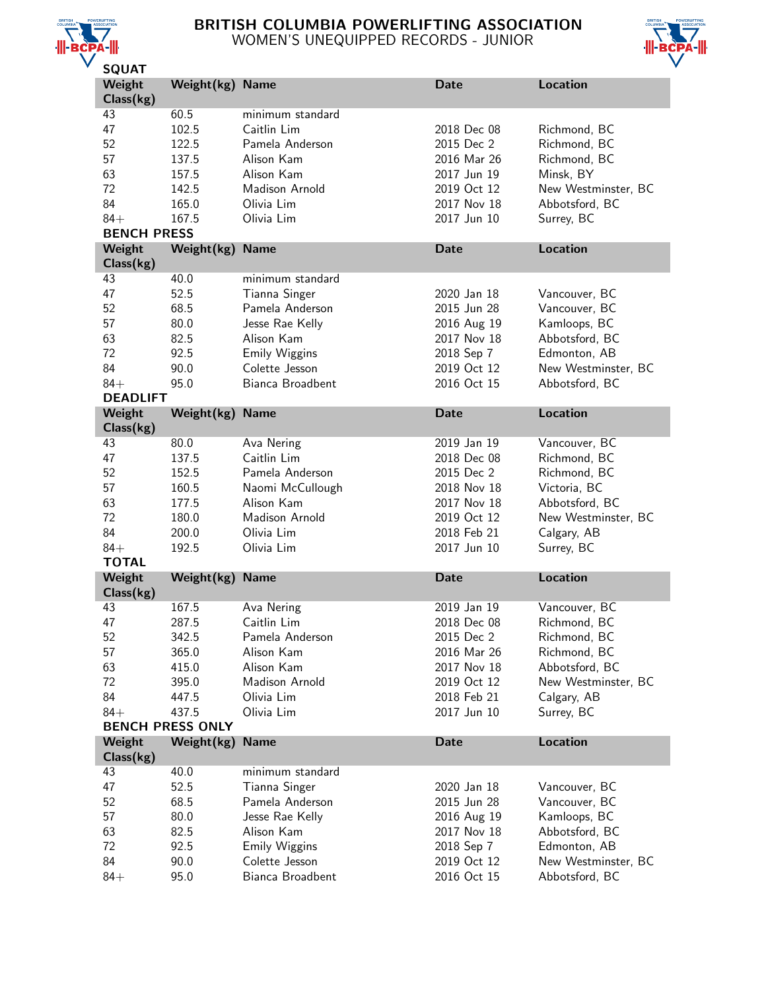

# BRITISH COLUMBIA POWERLIFTING ASSOCIATION WOMEN'S UNEQUIPPED RECORDS - JUNIOR



| <b>JUUAI</b>          |                         |                                    |                            |                                       |
|-----------------------|-------------------------|------------------------------------|----------------------------|---------------------------------------|
| Weight<br>Class(kg)   | Weight(kg) Name         |                                    | <b>Date</b>                | <b>Location</b>                       |
| 43                    | 60.5                    | minimum standard                   |                            |                                       |
| 47                    | 102.5                   | Caitlin Lim                        | 2018 Dec 08                | Richmond, BC                          |
| 52                    | 122.5                   | Pamela Anderson                    | 2015 Dec 2                 | Richmond, BC                          |
| 57                    |                         | Alison Kam                         | 2016 Mar 26                |                                       |
|                       | 137.5                   |                                    |                            | Richmond, BC                          |
| 63                    | 157.5                   | Alison Kam                         | 2017 Jun 19                | Minsk, BY                             |
| 72                    | 142.5                   | Madison Arnold                     | 2019 Oct 12                | New Westminster, BC                   |
| 84                    | 165.0                   | Olivia Lim                         | 2017 Nov 18                | Abbotsford, BC                        |
| $84+$                 | 167.5                   | Olivia Lim                         | 2017 Jun 10                | Surrey, BC                            |
| <b>BENCH PRESS</b>    |                         |                                    |                            |                                       |
| Weight                | Weight(kg)              | <b>Name</b>                        | <b>Date</b>                | <b>Location</b>                       |
| Class(kg)             |                         |                                    |                            |                                       |
| 43                    | 40.0                    | minimum standard                   |                            |                                       |
| 47                    | 52.5                    | Tianna Singer                      | 2020 Jan 18                | Vancouver, BC                         |
| 52                    | 68.5                    | Pamela Anderson                    | 2015 Jun 28                | Vancouver, BC                         |
| 57                    | 80.0                    | Jesse Rae Kelly                    | 2016 Aug 19                | Kamloops, BC                          |
| 63                    | 82.5                    | Alison Kam                         | 2017 Nov 18                | Abbotsford, BC                        |
| 72                    | 92.5                    | <b>Emily Wiggins</b>               | 2018 Sep 7                 | Edmonton, AB                          |
| 84                    | 90.0                    | Colette Jesson                     | 2019 Oct 12                | New Westminster, BC                   |
| $84+$                 | 95.0                    | Bianca Broadbent                   | 2016 Oct 15                | Abbotsford, BC                        |
| <b>DEADLIFT</b>       |                         |                                    |                            |                                       |
| Weight                | Weight(kg)              | <b>Name</b>                        | <b>Date</b>                | <b>Location</b>                       |
| Class(kg)             |                         |                                    |                            |                                       |
| 43                    | 80.0                    | Ava Nering                         | 2019 Jan 19                | Vancouver, BC                         |
| 47                    | 137.5                   | Caitlin Lim                        | 2018 Dec 08                | Richmond, BC                          |
| 52                    | 152.5                   | Pamela Anderson                    | 2015 Dec 2                 | Richmond, BC                          |
| 57                    | 160.5                   | Naomi McCullough                   | 2018 Nov 18                | Victoria, BC                          |
| 63                    | 177.5                   | Alison Kam                         | 2017 Nov 18                | Abbotsford, BC                        |
| 72                    | 180.0                   | Madison Arnold                     | 2019 Oct 12                | New Westminster, BC                   |
| 84                    |                         | Olivia Lim                         | 2018 Feb 21                |                                       |
|                       | 200.0                   |                                    |                            | Calgary, AB                           |
| $84+$<br><b>TOTAL</b> | 192.5                   | Olivia Lim                         | 2017 Jun 10                | Surrey, BC                            |
| Weight                | Weight(kg)              | <b>Name</b>                        | <b>Date</b>                | <b>Location</b>                       |
| Class(kg)             |                         |                                    |                            |                                       |
| 43                    | 167.5                   | Ava Nering                         | 2019 Jan 19                | Vancouver, BC                         |
| 47                    | 287.5                   | Caitlin Lim                        | 2018 Dec 08                | Richmond, BC                          |
| 52                    | 342.5                   | Pamela Anderson                    | 2015 Dec 2                 | Richmond, BC                          |
| 57                    | 365.0                   | Alison Kam                         | 2016 Mar 26                | Richmond, BC                          |
| 63                    | 415.0                   | Alison Kam                         | 2017 Nov 18                | Abbotsford, BC                        |
| 72                    | 395.0                   | Madison Arnold                     | 2019 Oct 12                | New Westminster, BC                   |
| 84                    | 447.5                   | Olivia Lim                         | 2018 Feb 21                | Calgary, AB                           |
| $84+$                 | 437.5                   | Olivia Lim                         | 2017 Jun 10                | Surrey, BC                            |
|                       |                         |                                    |                            |                                       |
| Weight                |                         |                                    |                            |                                       |
|                       | <b>BENCH PRESS ONLY</b> |                                    |                            |                                       |
|                       | Weight(kg)              | <b>Name</b>                        | <b>Date</b>                | <b>Location</b>                       |
| Class(kg)             |                         |                                    |                            |                                       |
| 43                    | 40.0                    | minimum standard                   |                            |                                       |
| 47                    | 52.5                    | Tianna Singer                      | 2020 Jan 18                | Vancouver, BC                         |
| 52                    | 68.5                    | Pamela Anderson                    | 2015 Jun 28                | Vancouver, BC                         |
| 57                    | 80.0                    | Jesse Rae Kelly                    | 2016 Aug 19                | Kamloops, BC                          |
| 63                    | 82.5                    | Alison Kam                         | 2017 Nov 18                | Abbotsford, BC                        |
| 72                    | 92.5                    | <b>Emily Wiggins</b>               | 2018 Sep 7                 | Edmonton, AB                          |
| 84<br>$84+$           | 90.0<br>95.0            | Colette Jesson<br>Bianca Broadbent | 2019 Oct 12<br>2016 Oct 15 | New Westminster, BC<br>Abbotsford, BC |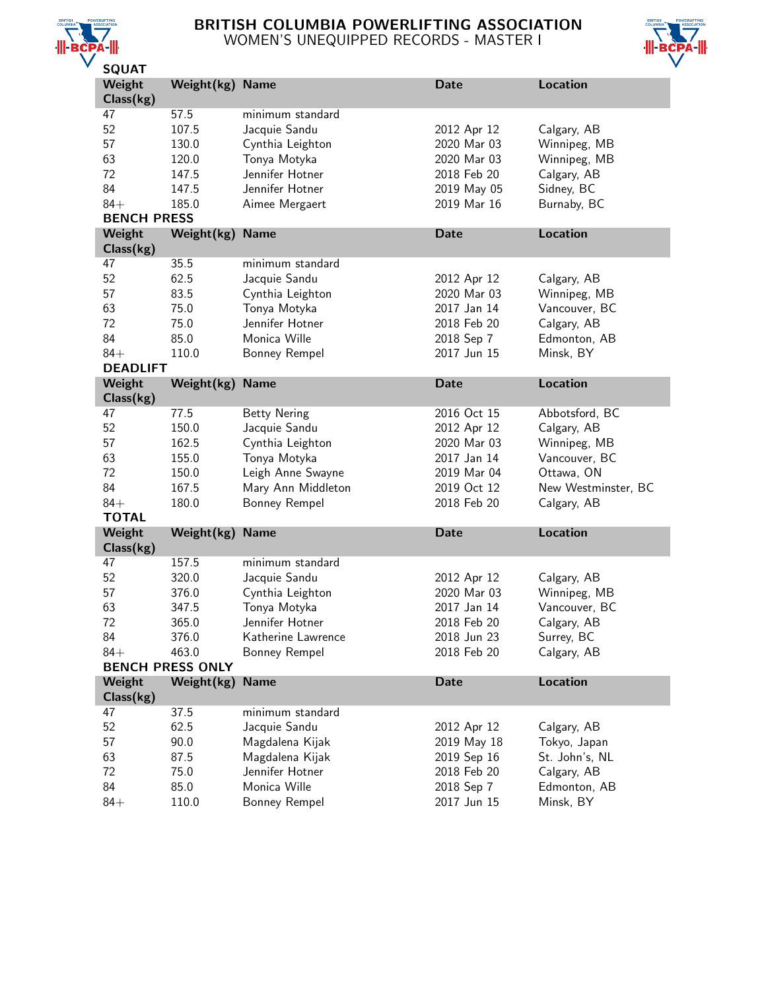

# BRITISH COLUMBIA POWERLIFTING ASSOCIATION WOMEN'S UNEQUIPPED RECORDS - MASTER I



| JQUAI              |                         |                     |             |                     |
|--------------------|-------------------------|---------------------|-------------|---------------------|
| Weight             | Weight $(kg)$           | <b>Name</b>         | <b>Date</b> | <b>Location</b>     |
| Class(kg)          |                         |                     |             |                     |
| 47                 | 57.5                    | minimum standard    |             |                     |
| 52                 | 107.5                   | Jacquie Sandu       | 2012 Apr 12 | Calgary, AB         |
| 57                 | 130.0                   | Cynthia Leighton    | 2020 Mar 03 | Winnipeg, MB        |
| 63                 | 120.0                   | Tonya Motyka        | 2020 Mar 03 | Winnipeg, MB        |
| 72                 | 147.5                   | Jennifer Hotner     | 2018 Feb 20 | Calgary, AB         |
| 84                 | 147.5                   | Jennifer Hotner     | 2019 May 05 | Sidney, BC          |
| $84+$              | 185.0                   | Aimee Mergaert      | 2019 Mar 16 | Burnaby, BC         |
|                    |                         |                     |             |                     |
| <b>BENCH PRESS</b> |                         |                     |             |                     |
| Weight             | Weight(kg)              | <b>Name</b>         | <b>Date</b> | <b>Location</b>     |
| Class(kg)          |                         |                     |             |                     |
| 47                 | 35.5                    | minimum standard    |             |                     |
| 52                 | 62.5                    | Jacquie Sandu       | 2012 Apr 12 | Calgary, AB         |
| 57                 | 83.5                    | Cynthia Leighton    | 2020 Mar 03 | Winnipeg, MB        |
| 63                 | 75.0                    | Tonya Motyka        | 2017 Jan 14 | Vancouver, BC       |
| 72                 | 75.0                    | Jennifer Hotner     | 2018 Feb 20 | Calgary, AB         |
| 84                 | 85.0                    | Monica Wille        | 2018 Sep 7  | Edmonton, AB        |
| $84+$              | 110.0                   | Bonney Rempel       | 2017 Jun 15 | Minsk, BY           |
| <b>DEADLIFT</b>    |                         |                     |             |                     |
| Weight             | Weight(kg)              | <b>Name</b>         | <b>Date</b> | <b>Location</b>     |
| Class(kg)          |                         |                     |             |                     |
| 47                 | 77.5                    | <b>Betty Nering</b> | 2016 Oct 15 | Abbotsford, BC      |
| 52                 | 150.0                   |                     | 2012 Apr 12 | Calgary, AB         |
|                    |                         | Jacquie Sandu       |             |                     |
| 57                 | 162.5                   | Cynthia Leighton    | 2020 Mar 03 | Winnipeg, MB        |
| 63                 | 155.0                   | Tonya Motyka        | 2017 Jan 14 | Vancouver, BC       |
| 72                 | 150.0                   | Leigh Anne Swayne   | 2019 Mar 04 | Ottawa, ON          |
| 84                 | 167.5                   | Mary Ann Middleton  | 2019 Oct 12 | New Westminster, BC |
| $84+$              | 180.0                   | Bonney Rempel       | 2018 Feb 20 | Calgary, AB         |
| <b>TOTAL</b>       |                         |                     |             |                     |
| Weight             | Weight(kg)              | <b>Name</b>         | <b>Date</b> | <b>Location</b>     |
| Class(kg)          |                         |                     |             |                     |
| 47                 | 157.5                   | minimum standard    |             |                     |
| 52                 | 320.0                   | Jacquie Sandu       | 2012 Apr 12 | Calgary, AB         |
| 57                 | 376.0                   | Cynthia Leighton    | 2020 Mar 03 | Winnipeg, MB        |
| 63                 | 347.5                   | Tonya Motyka        | 2017 Jan 14 | Vancouver, BC       |
| 72                 | 365.0                   | Jennifer Hotner     | 2018 Feb 20 | Calgary, AB         |
| 84                 | 376.0                   | Katherine Lawrence  | 2018 Jun 23 | Surrey, BC          |
| $84+$              | 463.0                   | Bonney Rempel       | 2018 Feb 20 | Calgary, AB         |
|                    | <b>BENCH PRESS ONLY</b> |                     |             |                     |
|                    |                         |                     |             |                     |
| Weight             | Weight(kg)              | <b>Name</b>         | <b>Date</b> | <b>Location</b>     |
| Class(kg)          |                         |                     |             |                     |
| 47                 | 37.5                    | minimum standard    |             |                     |
| 52                 | 62.5                    | Jacquie Sandu       | 2012 Apr 12 | Calgary, AB         |
| 57                 | 90.0                    | Magdalena Kijak     | 2019 May 18 | Tokyo, Japan        |
| 63                 | 87.5                    | Magdalena Kijak     | 2019 Sep 16 | St. John's, NL      |
| 72                 | 75.0                    | Jennifer Hotner     | 2018 Feb 20 | Calgary, AB         |
| 84                 | 85.0                    | Monica Wille        | 2018 Sep 7  | Edmonton, AB        |
| $84+$              | 110.0                   | Bonney Rempel       | 2017 Jun 15 | Minsk, BY           |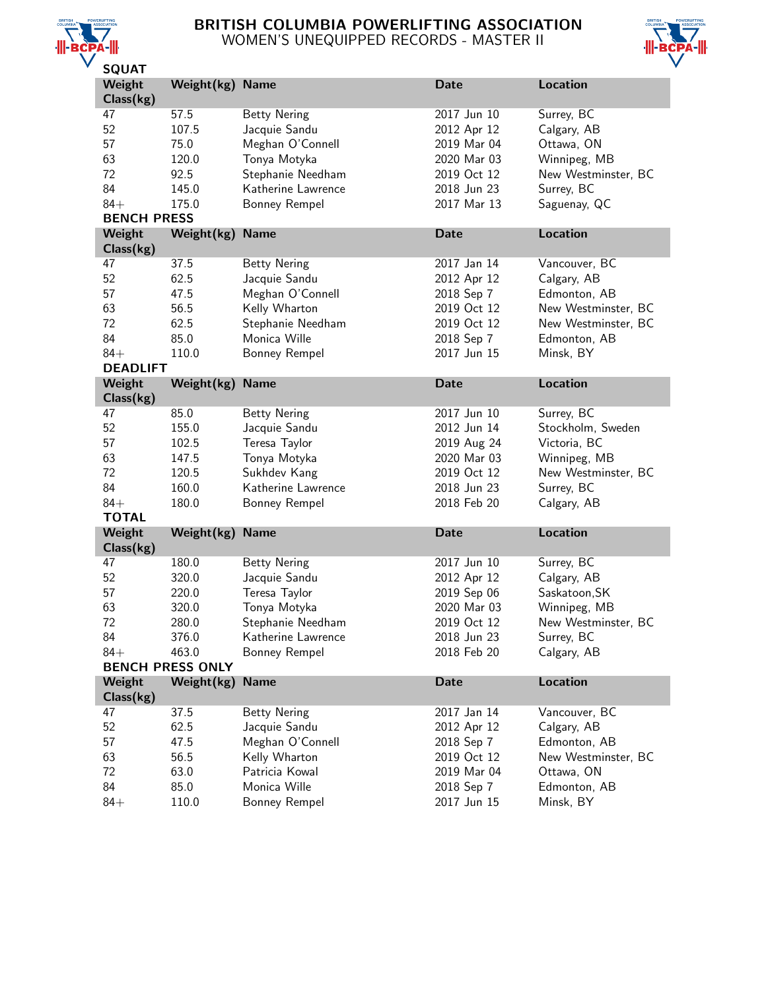

## BRITISH COLUMBIA POWERLIFTING ASSOCIATION WOMEN'S UNEQUIPPED RECORDS - MASTER II



| ---<br>Weight      | Weight(kg) Name         |                      | <b>Date</b> | Location            |
|--------------------|-------------------------|----------------------|-------------|---------------------|
| Class(kg)          |                         |                      |             |                     |
| 47                 | 57.5                    | <b>Betty Nering</b>  | 2017 Jun 10 | Surrey, BC          |
| 52                 | 107.5                   | Jacquie Sandu        | 2012 Apr 12 | Calgary, AB         |
| 57                 | 75.0                    | Meghan O'Connell     | 2019 Mar 04 | Ottawa, ON          |
| 63                 | 120.0                   | Tonya Motyka         | 2020 Mar 03 | Winnipeg, MB        |
| 72                 | 92.5                    | Stephanie Needham    | 2019 Oct 12 | New Westminster, BC |
| 84                 | 145.0                   | Katherine Lawrence   | 2018 Jun 23 | Surrey, BC          |
| $84+$              | 175.0                   | <b>Bonney Rempel</b> | 2017 Mar 13 | Saguenay, QC        |
| <b>BENCH PRESS</b> |                         |                      |             |                     |
| Weight             | Weight(kg)              | <b>Name</b>          | <b>Date</b> | <b>Location</b>     |
| Class(kg)          |                         |                      |             |                     |
| 47                 | 37.5                    | <b>Betty Nering</b>  | 2017 Jan 14 | Vancouver, BC       |
| 52                 | 62.5                    | Jacquie Sandu        | 2012 Apr 12 | Calgary, AB         |
| 57                 | 47.5                    | Meghan O'Connell     | 2018 Sep 7  | Edmonton, AB        |
| 63                 | 56.5                    | Kelly Wharton        | 2019 Oct 12 | New Westminster, BC |
| 72                 | 62.5                    | Stephanie Needham    | 2019 Oct 12 | New Westminster, BC |
| 84                 | 85.0                    | Monica Wille         | 2018 Sep 7  | Edmonton, AB        |
| $84+$              | 110.0                   | <b>Bonney Rempel</b> | 2017 Jun 15 | Minsk, BY           |
| <b>DEADLIFT</b>    |                         |                      |             |                     |
| Weight             | Weight(kg)              | <b>Name</b>          | <b>Date</b> | <b>Location</b>     |
| Class(kg)          |                         |                      |             |                     |
| 47                 | 85.0                    | <b>Betty Nering</b>  | 2017 Jun 10 | Surrey, BC          |
| 52                 | 155.0                   | Jacquie Sandu        | 2012 Jun 14 | Stockholm, Sweden   |
| 57                 | 102.5                   | Teresa Taylor        | 2019 Aug 24 | Victoria, BC        |
| 63                 | 147.5                   | Tonya Motyka         | 2020 Mar 03 | Winnipeg, MB        |
| 72                 | 120.5                   | Sukhdev Kang         | 2019 Oct 12 | New Westminster, BC |
| 84                 | 160.0                   | Katherine Lawrence   | 2018 Jun 23 | Surrey, BC          |
| $84+$              | 180.0                   | Bonney Rempel        | 2018 Feb 20 | Calgary, AB         |
| <b>TOTAL</b>       |                         |                      |             |                     |
| Weight             | Weight(kg)              | <b>Name</b>          | <b>Date</b> | Location            |
| Class(kg)          |                         |                      |             |                     |
| 47                 | 180.0                   | <b>Betty Nering</b>  | 2017 Jun 10 | Surrey, BC          |
| 52                 | 320.0                   | Jacquie Sandu        | 2012 Apr 12 | Calgary, AB         |
| 57                 | 220.0                   | Teresa Taylor        | 2019 Sep 06 | Saskatoon, SK       |
| 63                 | 320.0                   | Tonya Motyka         | 2020 Mar 03 | Winnipeg, MB        |
| 72                 | 280.0                   | Stephanie Needham    | 2019 Oct 12 | New Westminster, BC |
| 84                 | 376.0                   | Katherine Lawrence   | 2018 Jun 23 | Surrey, BC          |
| $84+$              | 463.0                   | Bonney Rempel        | 2018 Feb 20 | Calgary, AB         |
|                    | <b>BENCH PRESS ONLY</b> |                      |             |                     |
| Weight             | Weight $(kg)$           | <b>Name</b>          | <b>Date</b> | Location            |
| Class(kg)          |                         |                      |             |                     |
| 47                 | 37.5                    | <b>Betty Nering</b>  | 2017 Jan 14 | Vancouver, BC       |
| 52                 | 62.5                    | Jacquie Sandu        | 2012 Apr 12 | Calgary, AB         |
| 57                 | 47.5                    | Meghan O'Connell     | 2018 Sep 7  | Edmonton, AB        |
| 63                 | 56.5                    | Kelly Wharton        | 2019 Oct 12 | New Westminster, BC |
| 72                 | 63.0                    | Patricia Kowal       | 2019 Mar 04 | Ottawa, ON          |
| 84                 | 85.0                    | Monica Wille         | 2018 Sep 7  | Edmonton, AB        |
| $84+$              | 110.0                   | Bonney Rempel        | 2017 Jun 15 | Minsk, BY           |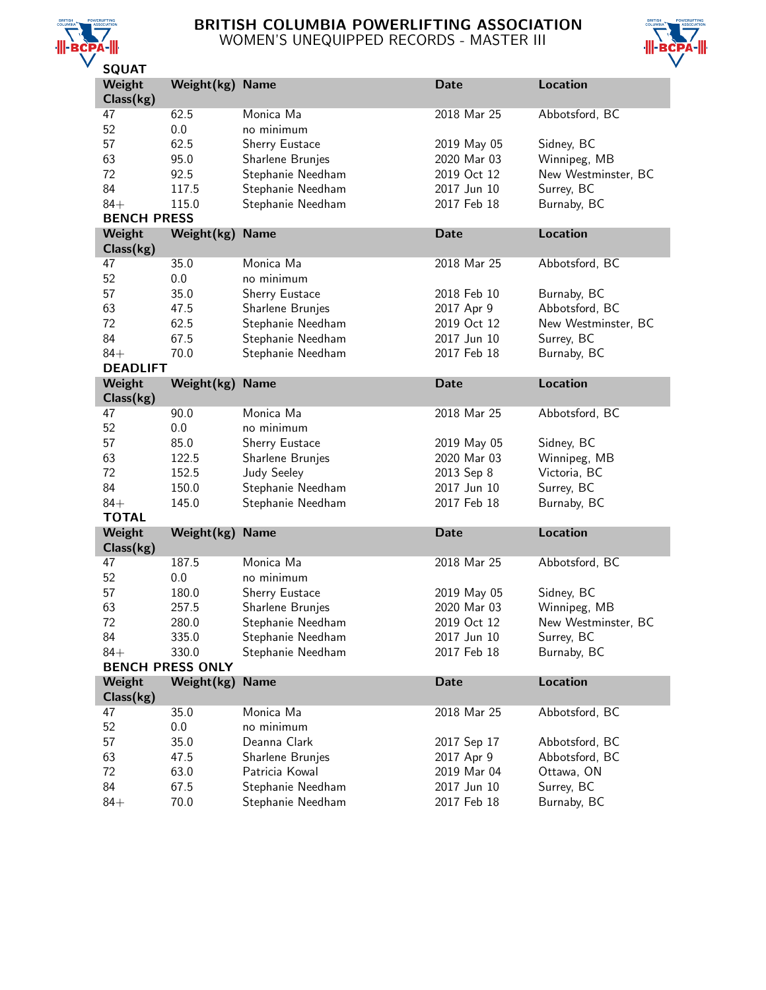

## BRITISH COLUMBIA POWERLIFTING ASSOCIATION WOMEN'S UNEQUIPPED RECORDS - MASTER III



| JQUAI              |                         |                                        |                            |                           |
|--------------------|-------------------------|----------------------------------------|----------------------------|---------------------------|
| Weight             | Weight(kg)              | <b>Name</b>                            | <b>Date</b>                | Location                  |
| Class(kg)          |                         |                                        |                            |                           |
| 47                 | 62.5                    | Monica Ma                              | 2018 Mar 25                | Abbotsford, BC            |
| 52                 | 0.0                     | no minimum                             |                            |                           |
| 57                 | 62.5                    | Sherry Eustace                         | 2019 May 05                | Sidney, BC                |
| 63                 | 95.0                    | Sharlene Brunjes                       | 2020 Mar 03                | Winnipeg, MB              |
|                    |                         |                                        |                            |                           |
| 72                 | 92.5                    | Stephanie Needham                      | 2019 Oct 12                | New Westminster, BC       |
| 84                 | 117.5                   | Stephanie Needham                      | 2017 Jun 10                | Surrey, BC                |
| $84+$              | 115.0                   | Stephanie Needham                      | 2017 Feb 18                | Burnaby, BC               |
| <b>BENCH PRESS</b> |                         |                                        |                            |                           |
| Weight             | Weight(kg)              | <b>Name</b>                            | <b>Date</b>                | <b>Location</b>           |
| Class(kg)          |                         |                                        |                            |                           |
| 47                 | 35.0                    | Monica Ma                              | 2018 Mar 25                | Abbotsford, BC            |
| 52                 | 0.0                     | no minimum                             |                            |                           |
| 57                 | 35.0                    | Sherry Eustace                         | 2018 Feb 10                | Burnaby, BC               |
| 63                 | 47.5                    | Sharlene Brunjes                       | 2017 Apr 9                 | Abbotsford, BC            |
| 72                 |                         |                                        |                            |                           |
|                    | 62.5                    | Stephanie Needham                      | 2019 Oct 12                | New Westminster, BC       |
| 84                 | 67.5                    | Stephanie Needham                      | 2017 Jun 10                | Surrey, BC                |
| $84+$              | 70.0                    | Stephanie Needham                      | 2017 Feb 18                | Burnaby, BC               |
| <b>DEADLIFT</b>    |                         |                                        |                            |                           |
| Weight             | Weight(kg)              | <b>Name</b>                            | <b>Date</b>                | <b>Location</b>           |
| Class(kg)          |                         |                                        |                            |                           |
| 47                 | 90.0                    | Monica Ma                              | 2018 Mar 25                | Abbotsford, BC            |
| 52                 | 0.0                     | no minimum                             |                            |                           |
| 57                 | 85.0                    | Sherry Eustace                         | 2019 May 05                | Sidney, BC                |
| 63                 |                         |                                        | 2020 Mar 03                |                           |
|                    | 122.5                   | Sharlene Brunjes                       |                            | Winnipeg, MB              |
| 72                 | 152.5                   | <b>Judy Seeley</b>                     | 2013 Sep 8                 | Victoria, BC              |
| 84                 | 150.0                   | Stephanie Needham                      | 2017 Jun 10                | Surrey, BC                |
| $84+$              | 145.0                   | Stephanie Needham                      | 2017 Feb 18                | Burnaby, BC               |
| <b>TOTAL</b>       |                         |                                        |                            |                           |
| Weight             | Weight(kg)              | <b>Name</b>                            | <b>Date</b>                | <b>Location</b>           |
| Class(kg)          |                         |                                        |                            |                           |
| 47                 | 187.5                   | Monica Ma                              | 2018 Mar 25                | Abbotsford, BC            |
| 52                 | 0.0                     | no minimum                             |                            |                           |
| 57                 | 180.0                   | Sherry Eustace                         | 2019 May 05                | Sidney, BC                |
| 63                 |                         |                                        | 2020 Mar 03                | Winnipeg, MB              |
|                    | 257.5                   | Sharlene Brunjes                       |                            |                           |
| 72                 | 280.0                   | Stephanie Needham                      | 2019 Oct 12                | New Westminster, BC       |
| 84                 | 335.0                   | Stephanie Needham                      | 2017 Jun 10                | Surrey, BC                |
| $84+$              | 330.0                   | Stephanie Needham                      | 2017 Feb 18                | Burnaby, BC               |
|                    | <b>BENCH PRESS ONLY</b> |                                        |                            |                           |
| Weight             | Weight(kg)              | <b>Name</b>                            | <b>Date</b>                | <b>Location</b>           |
| Class(kg)          |                         |                                        |                            |                           |
| 47                 | 35.0                    | Monica Ma                              | 2018 Mar 25                | Abbotsford, BC            |
| 52                 | 0.0                     | no minimum                             |                            |                           |
| 57                 | 35.0                    | Deanna Clark                           | 2017 Sep 17                | Abbotsford, BC            |
| 63                 | 47.5                    | Sharlene Brunjes                       | 2017 Apr 9                 | Abbotsford, BC            |
|                    |                         |                                        |                            |                           |
| 72                 | 63.0                    | Patricia Kowal                         | 2019 Mar 04                | Ottawa, ON                |
|                    |                         |                                        |                            |                           |
| 84<br>$84+$        | 67.5<br>70.0            | Stephanie Needham<br>Stephanie Needham | 2017 Jun 10<br>2017 Feb 18 | Surrey, BC<br>Burnaby, BC |